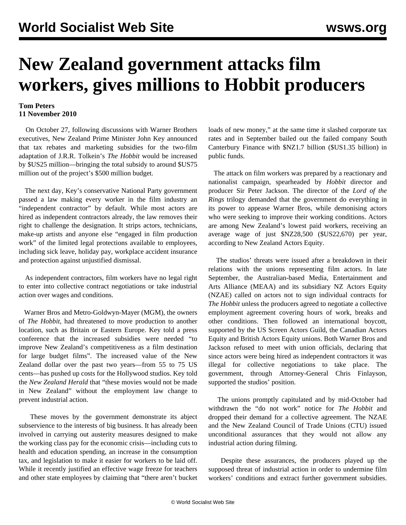## **New Zealand government attacks film workers, gives millions to Hobbit producers**

## **Tom Peters 11 November 2010**

 On October 27, following discussions with Warner Brothers executives, New Zealand Prime Minister John Key announced that tax rebates and marketing subsidies for the two-film adaptation of J.R.R. Tolkein's *The Hobbit* would be increased by \$US25 million—bringing the total subsidy to around \$US75 million out of the project's \$500 million budget.

 The next day, Key's conservative National Party government passed a law making every worker in the film industry an "independent contractor" by default. While most actors are hired as independent contractors already, the law removes their right to challenge the designation. It strips actors, technicians, make-up artists and anyone else "engaged in film production work" of the limited legal protections available to employees, including sick leave, holiday pay, workplace accident insurance and protection against unjustified dismissal.

 As independent contractors, film workers have no legal right to enter into collective contract negotiations or take industrial action over wages and conditions.

 Warner Bros and Metro-Goldwyn-Mayer (MGM), the owners of *The Hobbit*, had threatened to move production to another location, such as Britain or Eastern Europe. Key told a press conference that the increased subsidies were needed "to improve New Zealand's competitiveness as a film destination for large budget films". The increased value of the New Zealand dollar over the past two years—from 55 to 75 US cents—has pushed up costs for the Hollywood studios. Key told the *New Zealand Herald* that "these movies would not be made in New Zealand" without the employment law change to prevent industrial action.

 These moves by the government demonstrate its abject subservience to the interests of big business. It has already been involved in carrying out austerity measures designed to make the working class pay for the economic crisis—including cuts to health and education spending, an increase in the consumption tax, and legislation to make it easier for workers to be laid off. While it recently justified an effective wage freeze for teachers and other state employees by claiming that "there aren't bucket loads of new money," at the same time it slashed corporate tax rates and in September bailed out the failed company South Canterbury Finance with \$NZ1.7 billion (\$US1.35 billion) in public funds.

 The attack on film workers was prepared by a reactionary and nationalist campaign, spearheaded by *Hobbit* director and producer Sir Peter Jackson. The director of the *Lord of the Rings* trilogy demanded that the government do everything in its power to appease Warner Bros, while demonising actors who were seeking to improve their working conditions. Actors are among New Zealand's lowest paid workers, receiving an average wage of just \$NZ28,500 (\$US22,670) per year, according to New Zealand Actors Equity.

 The studios' threats were issued after a breakdown in their relations with the unions representing film actors. In late September, the Australian-based Media, Entertainment and Arts Alliance (MEAA) and its subsidiary NZ Actors Equity (NZAE) called on actors not to sign individual contracts for *The Hobbit* unless the producers agreed to negotiate a collective employment agreement covering hours of work, breaks and other conditions. Then followed an international boycott, supported by the US Screen Actors Guild, the Canadian Actors Equity and British Actors Equity unions. Both Warner Bros and Jackson refused to meet with union officials, declaring that since actors were being hired as independent contractors it was illegal for collective negotiations to take place. The government, through Attorney-General Chris Finlayson, supported the studios' position.

 The unions promptly capitulated and by mid-October had withdrawn the "do not work" notice for *The Hobbit* and dropped their demand for a collective agreement. The NZAE and the New Zealand Council of Trade Unions (CTU) issued unconditional assurances that they would not allow any industrial action during filming.

 Despite these assurances, the producers played up the supposed threat of industrial action in order to undermine film workers' conditions and extract further government subsidies.